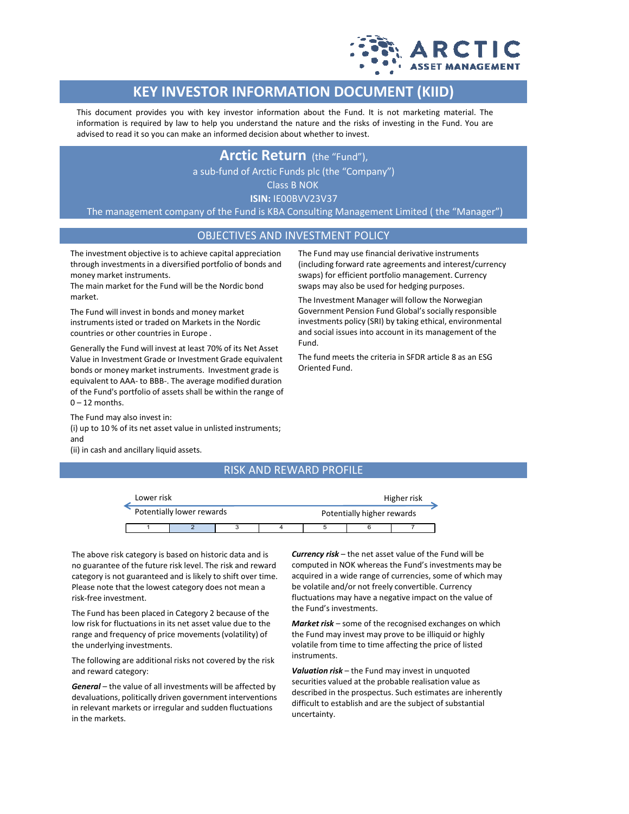

# **KEY INVESTOR INFORMATION DOCUMENT (KIID)**

This document provides you with key investor information about the Fund. It is not marketing material. The information is required by law to help you understand the nature and the risks of investing in the Fund. You are advised to read it so you can make an informed decision about whether to invest.

## **Arctic Return** (the "Fund"),

a sub-fund of Arctic Funds plc (the "Company")

Class B NOK

**ISIN:** IE00BVV23V37

The management company of the Fund is KBA Consulting Management Limited ( the "Manager")

## OBJECTIVES AND INVESTMENT POLICY

Fund.

Oriented Fund.

The investment objective is to achieve capital appreciation through investments in a diversified portfolio of bonds and money market instruments.

The main market for the Fund will be the Nordic bond market.

The Fund will invest in bonds and money market instruments isted or traded on Markets in the Nordic countries or other countries in Europe .

Generally the Fund will invest at least 70% of its Net Asset Value in Investment Grade or Investment Grade equivalent bonds or money market instruments. Investment grade is equivalent to AAA- to BBB-. The average modified duration of the Fund's portfolio of assets shall be within the range of  $0 - 12$  months.

The Fund may also invest in:

(i) up to 10 % of its net asset value in unlisted instruments; and

(ii) in cash and ancillary liquid assets.

## RISK AND REWARD PROFILE

| Lower risk |                           |  | Higher risk                |  |  |  |  |
|------------|---------------------------|--|----------------------------|--|--|--|--|
|            | Potentially lower rewards |  | Potentially higher rewards |  |  |  |  |
|            |                           |  |                            |  |  |  |  |

The above risk category is based on historic data and is no guarantee of the future risk level. The risk and reward category is not guaranteed and is likely to shift over time. Please note that the lowest category does not mean a risk-free investment.

The Fund has been placed in Category 2 because of the low risk for fluctuations in its net asset value due to the range and frequency of price movements (volatility) of the underlying investments.

The following are additional risks not covered by the risk and reward category:

*General* – the value of all investments will be affected by devaluations, politically driven government interventions in relevant markets or irregular and sudden fluctuations in the markets.

*Currency risk* – the net asset value of the Fund will be computed in NOK whereas the Fund's investments may be acquired in a wide range of currencies, some of which may be volatile and/or not freely convertible. Currency fluctuations may have a negative impact on the value of the Fund's investments.

The Fund may use financial derivative instruments (including forward rate agreements and interest/currency swaps) for efficient portfolio management. Currency swaps may also be used for hedging purposes. The Investment Manager will follow the Norwegian Government Pension Fund Global's socially responsible investments policy (SRI) by taking ethical, environmental and social issues into account in its management of the

The fund meets the criteria in SFDR article 8 as an ESG

*Market risk* – some of the recognised exchanges on which the Fund may invest may prove to be illiquid or highly volatile from time to time affecting the price of listed instruments.

*Valuation risk* – the Fund may invest in unquoted securities valued at the probable realisation value as described in the prospectus. Such estimates are inherently difficult to establish and are the subject of substantial uncertainty.